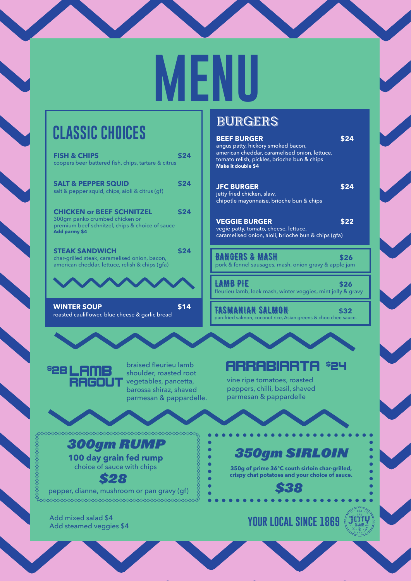# **MENU**

## **CLASSIC CHOICES**

| <b>FISH &amp; CHIPS</b><br>\$24<br>coopers beer battered fish, chips, tartare & citrus                                                                                | a<br>tc<br>M  |
|-----------------------------------------------------------------------------------------------------------------------------------------------------------------------|---------------|
| <b>SALT &amp; PEPPER SQUID</b><br>\$24<br>salt & pepper squid, chips, aioli & citrus (gf)                                                                             | J<br>je<br>cl |
| \$24<br><b>CHICKEN or BEEF SCHNITZEL</b><br>300gm panko crumbed chicken or<br>premium beef schnitzel, chips & choice of sauce<br>Add parmy \$4                        | ν.<br>c       |
| \$24<br><b>STEAK SANDWICH</b><br>char-grilled steak, caramelised onion, bacon,<br>american cheddar, lettuce, relish & chips (qfa)                                     | B<br>p        |
|                                                                                                                                                                       | fle           |
| \$14<br><b>WINTER SOUP</b><br>roasted cauliflower, blue cheese & garlic bread                                                                                         | pa            |
|                                                                                                                                                                       |               |
| braised fleurieu lamb<br><b><i>828 LAMB</i></b><br>shoulder, roasted root<br><b>RAGOUT</b> vegetables, pancetta,<br>barossa shiraz, shaved<br>parmesan & pappardelle. |               |
| ◇◇◇◇◇◇◇◇◇◇◇◇◇◇◇◇◇◇◇◇◇◇◇◇◇◇◇◇◇◇◇◇◇◇                                                                                                                                    |               |
| 300gm RUMP<br>100 day grain fed rump<br>choice of sauce with chips<br>S28<br>penner dianne mushroom or pan gravy (gf)                                                 |               |

#### pepper, dianne, mushroom or pan gravy (gf)

Add mixed salad \$4<br>Add steamed veggies \$4

prococococococococococo

#### BURGERS

| <b>BEEF BURGER</b><br>angus patty, hickory smoked bacon,<br>american cheddar, caramelised onion, lettuce,<br>tomato relish, pickles, brioche bun & chips<br><b>Make it double \$4</b> | \$24 |
|---------------------------------------------------------------------------------------------------------------------------------------------------------------------------------------|------|
| <b>JFC BURGER</b><br>jetty fried chicken, slaw,<br>chipotle mayonnaise, brioche bun & chips                                                                                           | \$24 |
| <b>VEGGIE BURGER</b><br>vegie patty, tomato, cheese, lettuce,<br>caramelised onion, aioli, brioche bun & chips (qfa)                                                                  | \$22 |
| <b>BANGERS &amp; MASH</b><br>pork & fennel sausages, mash, onion gravy & apple jam                                                                                                    | \$26 |
| <b>LAMB PIE</b><br>fleurieu lamb, leek mash, winter veggies, mint jelly & gravy                                                                                                       | \$26 |
| TASMANIAN SALMON<br>pan-fried salmon, coconut rice, Asian greens & choo chee sauce.                                                                                                   | \$32 |
|                                                                                                                                                                                       |      |
| ARRABIARTA                                                                                                                                                                            |      |

vine ripe tomatoes, roasted peppers, chilli, basil, shaved parmesan & pappardelle

### *350gm SIRLOIN*

**350g of prime 36℃ south sirloin char-grilled, crispy chat potatoes and your choice of sauce.**

*\$38*

#### **YOUR LOCAL SINCE 1869** (JETTY)



 $\bullet$ Ċ ċ